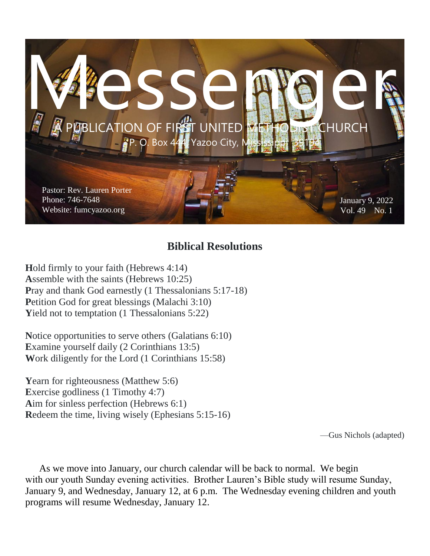

#### **Biblical Resolutions**

**H**old firmly to your faith (Hebrews 4:14) **A**ssemble with the saints (Hebrews 10:25) Pray and thank God earnestly (1 Thessalonians 5:17-18) Petition God for great blessings (Malachi 3:10) Yield not to temptation (1 Thessalonians 5:22)

**N**otice opportunities to serve others (Galatians 6:10) **E**xamine yourself daily (2 Corinthians 13:5) **W**ork diligently for the Lord (1 Corinthians 15:58)

**Y**earn for righteousness (Matthew 5:6) Exercise godliness (1 Timothy 4:7) **A**im for sinless perfection (Hebrews 6:1) **R**edeem the time, living wisely (Ephesians 5:15-16)

—Gus Nichols (adapted)

As we move into January, our church calendar will be back to normal. We begin with our youth Sunday evening activities. Brother Lauren's Bible study will resume Sunday, January 9, and Wednesday, January 12, at 6 p.m. The Wednesday evening children and youth programs will resume Wednesday, January 12.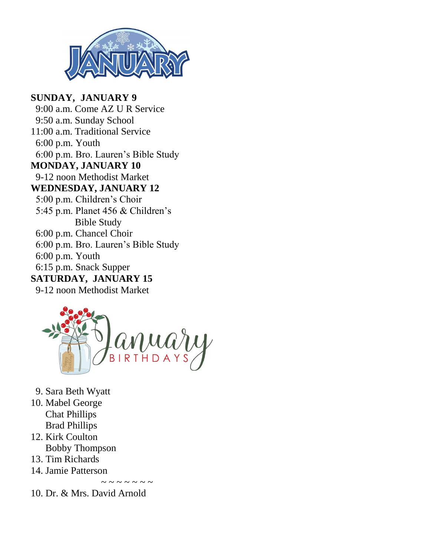

#### **SUNDAY, JANUARY 9** 9:00 a.m. Come AZ U R Service 9:50 a.m. Sunday School 11:00 a.m. Traditional Service

 6:00 p.m. Youth 6:00 p.m. Bro. Lauren's Bible Study **MONDAY, JANUARY 10** 9-12 noon Methodist Market **WEDNESDAY, JANUARY 12** 5:00 p.m. Children's Choir 5:45 p.m. Planet 456 & Children's Bible Study 6:00 p.m. Chancel Choir 6:00 p.m. Bro. Lauren's Bible Study 6:00 p.m. Youth 6:15 p.m. Snack Supper **SATURDAY, JANUARY 15**

9-12 noon Methodist Market



 $\sim$   $\sim$   $\sim$   $\sim$   $\sim$ 

- 9. Sara Beth Wyatt
- 10. Mabel George Chat Phillips Brad Phillips
- 12. Kirk Coulton Bobby Thompson
- 13. Tim Richards
- 14. Jamie Patterson

10. Dr. & Mrs. David Arnold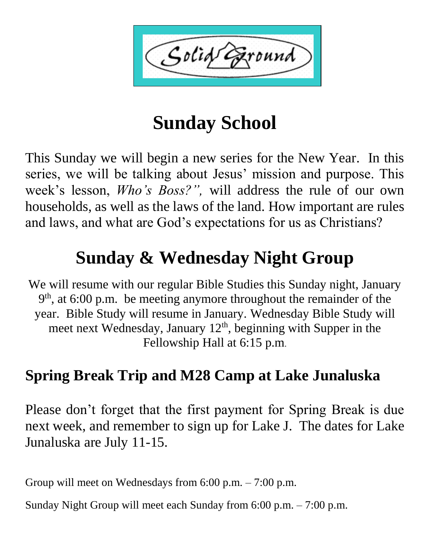Solid ound'

# **Sunday School**

This Sunday we will begin a new series for the New Year. In this series, we will be talking about Jesus' mission and purpose. This week's lesson, *Who's Boss?",* will address the rule of our own households, as well as the laws of the land. How important are rules and laws, and what are God's expectations for us as Christians?

# **Sunday & Wednesday Night Group**

We will resume with our regular Bible Studies this Sunday night, January 9<sup>th</sup>, at 6:00 p.m. be meeting anymore throughout the remainder of the year. Bible Study will resume in January. Wednesday Bible Study will meet next Wednesday, January  $12<sup>th</sup>$ , beginning with Supper in the Fellowship Hall at 6:15 p.m.

## **Spring Break Trip and M28 Camp at Lake Junaluska**

Please don't forget that the first payment for Spring Break is due next week, and remember to sign up for Lake J. The dates for Lake Junaluska are July 11-15.

Group will meet on Wednesdays from 6:00 p.m. – 7:00 p.m.

Sunday Night Group will meet each Sunday from 6:00 p.m. – 7:00 p.m.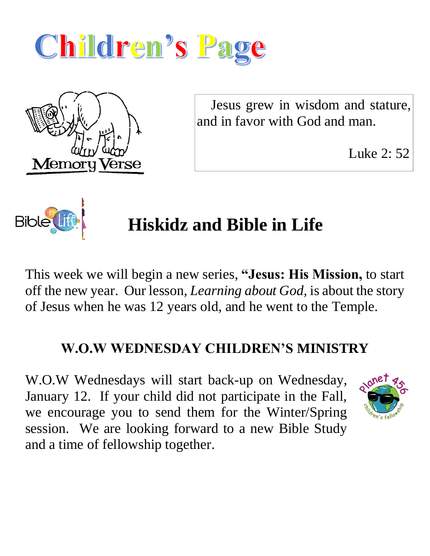



 Jesus grew in wisdom and stature, and in favor with God and man.

Luke 2: 52



# **Hiskidz and Bible in Life**

This week we will begin a new series, **"Jesus: His Mission,** to start off the new year. Our lesson, *Learning about God,* is about the story of Jesus when he was 12 years old, and he went to the Temple.

### **W.O.W WEDNESDAY CHILDREN'S MINISTRY**

W.O.W Wednesdays will start back-up on Wednesday, January 12. If your child did not participate in the Fall, we encourage you to send them for the Winter/Spring session. We are looking forward to a new Bible Study and a time of fellowship together.